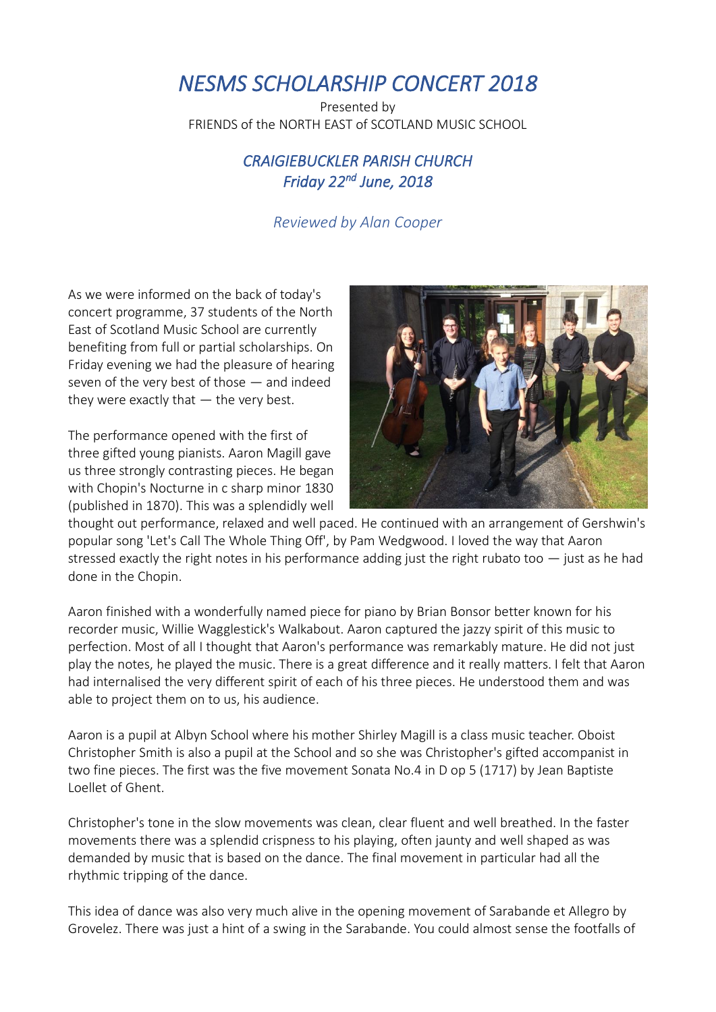## *NESMS SCHOLARSHIP CONCERT 2018*

Presented by FRIENDS of the NORTH EAST of SCOTLAND MUSIC SCHOOL

## *CRAIGIEBUCKLER PARISH CHURCH Friday 22 nd June, 2018*

## *Reviewed by Alan Cooper*

As we were informed on the back of today's concert programme, 37 students of the North East of Scotland Music School are currently benefiting from full or partial scholarships. On Friday evening we had the pleasure of hearing seven of the very best of those — and indeed they were exactly that — the very best.

The performance opened with the first of three gifted young pianists. Aaron Magill gave us three strongly contrasting pieces. He began with Chopin's Nocturne in c sharp minor 1830 (published in 1870). This was a splendidly well



thought out performance, relaxed and well paced. He continued with an arrangement of Gershwin's popular song 'Let's Call The Whole Thing Off', by Pam Wedgwood. I loved the way that Aaron stressed exactly the right notes in his performance adding just the right rubato too — just as he had done in the Chopin.

Aaron finished with a wonderfully named piece for piano by Brian Bonsor better known for his recorder music, Willie Wagglestick's Walkabout. Aaron captured the jazzy spirit of this music to perfection. Most of all I thought that Aaron's performance was remarkably mature. He did not just play the notes, he played the music. There is a great difference and it really matters. I felt that Aaron had internalised the very different spirit of each of his three pieces. He understood them and was able to project them on to us, his audience.

Aaron is a pupil at Albyn School where his mother Shirley Magill is a class music teacher. Oboist Christopher Smith is also a pupil at the School and so she was Christopher's gifted accompanist in two fine pieces. The first was the five movement Sonata No.4 in D op 5 (1717) by Jean Baptiste Loellet of Ghent.

Christopher's tone in the slow movements was clean, clear fluent and well breathed. In the faster movements there was a splendid crispness to his playing, often jaunty and well shaped as was demanded by music that is based on the dance. The final movement in particular had all the rhythmic tripping of the dance.

This idea of dance was also very much alive in the opening movement of Sarabande et Allegro by Grovelez. There was just a hint of a swing in the Sarabande. You could almost sense the footfalls of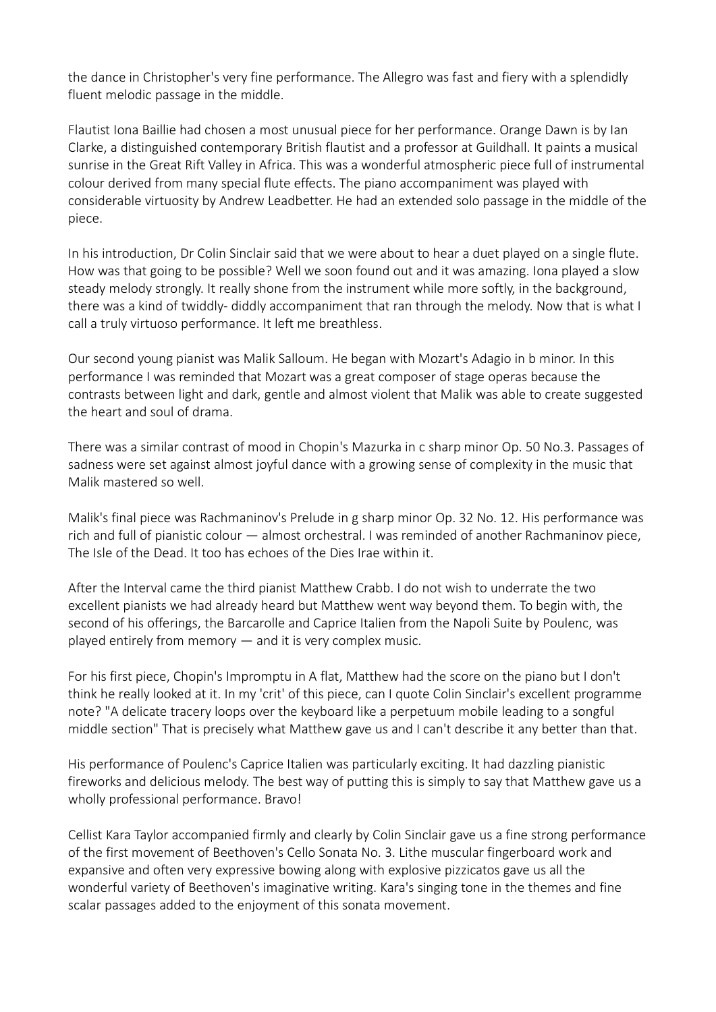the dance in Christopher's very fine performance. The Allegro was fast and fiery with a splendidly fluent melodic passage in the middle.

Flautist Iona Baillie had chosen a most unusual piece for her performance. Orange Dawn is by Ian Clarke, a distinguished contemporary British flautist and a professor at Guildhall. It paints a musical sunrise in the Great Rift Valley in Africa. This was a wonderful atmospheric piece full of instrumental colour derived from many special flute effects. The piano accompaniment was played with considerable virtuosity by Andrew Leadbetter. He had an extended solo passage in the middle of the piece.

In his introduction, Dr Colin Sinclair said that we were about to hear a duet played on a single flute. How was that going to be possible? Well we soon found out and it was amazing. Iona played a slow steady melody strongly. It really shone from the instrument while more softly, in the background, there was a kind of twiddly- diddly accompaniment that ran through the melody. Now that is what I call a truly virtuoso performance. It left me breathless.

Our second young pianist was Malik Salloum. He began with Mozart's Adagio in b minor. In this performance I was reminded that Mozart was a great composer of stage operas because the contrasts between light and dark, gentle and almost violent that Malik was able to create suggested the heart and soul of drama.

There was a similar contrast of mood in Chopin's Mazurka in c sharp minor Op. 50 No.3. Passages of sadness were set against almost joyful dance with a growing sense of complexity in the music that Malik mastered so well.

Malik's final piece was Rachmaninov's Prelude in g sharp minor Op. 32 No. 12. His performance was rich and full of pianistic colour — almost orchestral. I was reminded of another Rachmaninov piece, The Isle of the Dead. It too has echoes of the Dies Irae within it.

After the Interval came the third pianist Matthew Crabb. I do not wish to underrate the two excellent pianists we had already heard but Matthew went way beyond them. To begin with, the second of his offerings, the Barcarolle and Caprice Italien from the Napoli Suite by Poulenc, was played entirely from memory — and it is very complex music.

For his first piece, Chopin's Impromptu in A flat, Matthew had the score on the piano but I don't think he really looked at it. In my 'crit' of this piece, can I quote Colin Sinclair's excellent programme note? "A delicate tracery loops over the keyboard like a perpetuum mobile leading to a songful middle section" That is precisely what Matthew gave us and I can't describe it any better than that.

His performance of Poulenc's Caprice Italien was particularly exciting. It had dazzling pianistic fireworks and delicious melody. The best way of putting this is simply to say that Matthew gave us a wholly professional performance. Bravo!

Cellist Kara Taylor accompanied firmly and clearly by Colin Sinclair gave us a fine strong performance of the first movement of Beethoven's Cello Sonata No. 3. Lithe muscular fingerboard work and expansive and often very expressive bowing along with explosive pizzicatos gave us all the wonderful variety of Beethoven's imaginative writing. Kara's singing tone in the themes and fine scalar passages added to the enjoyment of this sonata movement.